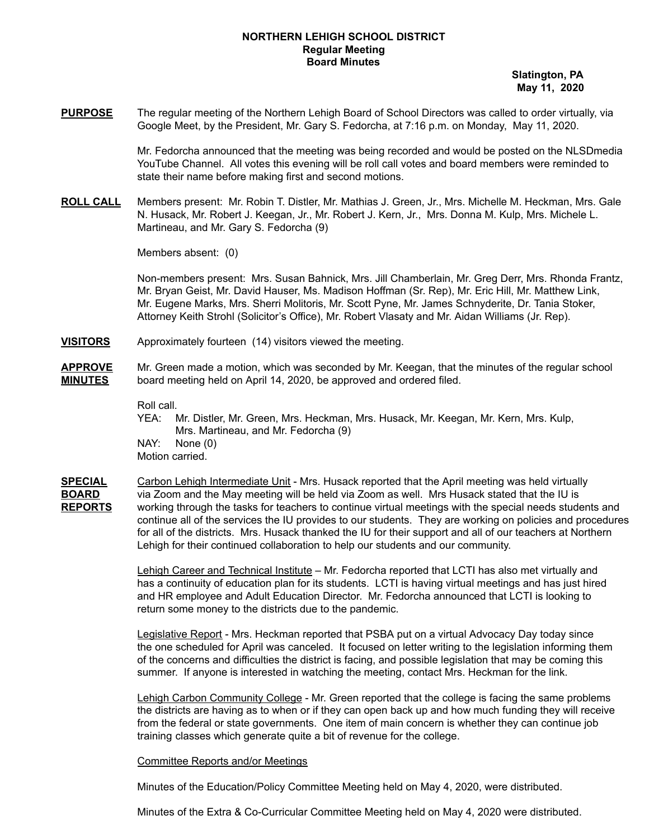## **NORTHERN LEHIGH SCHOOL DISTRICT Regular Meeting Board Minutes**

**Slatington, PA May 11, 2020**

**PURPOSE** The regular meeting of the Northern Lehigh Board of School Directors was called to order virtually, via Google Meet, by the President, Mr. Gary S. Fedorcha, at 7:16 p.m. on Monday, May 11, 2020.

> Mr. Fedorcha announced that the meeting was being recorded and would be posted on the NLSDmedia YouTube Channel. All votes this evening will be roll call votes and board members were reminded to state their name before making first and second motions.

**ROLL CALL** Members present: Mr. Robin T. Distler, Mr. Mathias J. Green, Jr., Mrs. Michelle M. Heckman, Mrs. Gale N. Husack, Mr. Robert J. Keegan, Jr., Mr. Robert J. Kern, Jr., Mrs. Donna M. Kulp, Mrs. Michele L. Martineau, and Mr. Gary S. Fedorcha (9)

Members absent: (0)

Non-members present: Mrs. Susan Bahnick, Mrs. Jill Chamberlain, Mr. Greg Derr, Mrs. Rhonda Frantz, Mr. Bryan Geist, Mr. David Hauser, Ms. Madison Hoffman (Sr. Rep), Mr. Eric Hill, Mr. Matthew Link, Mr. Eugene Marks, Mrs. Sherri Molitoris, Mr. Scott Pyne, Mr. James Schnyderite, Dr. Tania Stoker, Attorney Keith Strohl (Solicitor's Office), Mr. Robert Vlasaty and Mr. Aidan Williams (Jr. Rep).

- **VISITORS** Approximately fourteen (14) visitors viewed the meeting.
- **APPROVE** Mr. Green made a motion, which was seconded by Mr. Keegan, that the minutes of the regular school **MINUTES** board meeting held on April 14, 2020, be approved and ordered filed.

Roll call.

- YEA: Mr. Distler, Mr. Green, Mrs. Heckman, Mrs. Husack, Mr. Keegan, Mr. Kern, Mrs. Kulp, Mrs. Martineau, and Mr. Fedorcha (9) NAY: None (0) Motion carried.
- **SPECIAL** Carbon Lehigh Intermediate Unit Mrs. Husack reported that the April meeting was held virtually **BOARD** via Zoom and the May meeting will be held via Zoom as well. Mrs Husack stated that the IU is **REPORTS** working through the tasks for teachers to continue virtual meetings with the special needs students and continue all of the services the IU provides to our students. They are working on policies and procedures for all of the districts. Mrs. Husack thanked the IU for their support and all of our teachers at Northern Lehigh for their continued collaboration to help our students and our community.

Lehigh Career and Technical Institute – Mr. Fedorcha reported that LCTI has also met virtually and has a continuity of education plan for its students. LCTI is having virtual meetings and has just hired and HR employee and Adult Education Director. Mr. Fedorcha announced that LCTI is looking to return some money to the districts due to the pandemic.

Legislative Report - Mrs. Heckman reported that PSBA put on a virtual Advocacy Day today since the one scheduled for April was canceled. It focused on letter writing to the legislation informing them of the concerns and difficulties the district is facing, and possible legislation that may be coming this summer. If anyone is interested in watching the meeting, contact Mrs. Heckman for the link.

Lehigh Carbon Community College - Mr. Green reported that the college is facing the same problems the districts are having as to when or if they can open back up and how much funding they will receive from the federal or state governments. One item of main concern is whether they can continue job training classes which generate quite a bit of revenue for the college.

### Committee Reports and/or Meetings

Minutes of the Education/Policy Committee Meeting held on May 4, 2020, were distributed.

Minutes of the Extra & Co-Curricular Committee Meeting held on May 4, 2020 were distributed.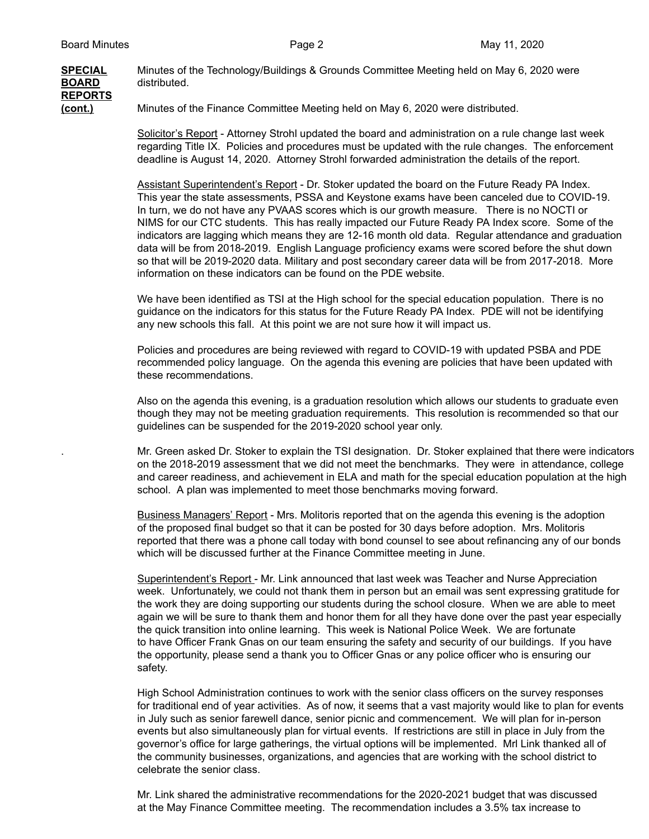## **SPECIAL** Minutes of the Technology/Buildings & Grounds Committee Meeting held on May 6, 2020 were **BOARD** distributed. **REPORTS (cont.)** Minutes of the Finance Committee Meeting held on May 6, 2020 were distributed.

Solicitor's Report - Attorney Strohl updated the board and administration on a rule change last week regarding Title IX. Policies and procedures must be updated with the rule changes. The enforcement deadline is August 14, 2020. Attorney Strohl forwarded administration the details of the report.

Assistant Superintendent's Report - Dr. Stoker updated the board on the Future Ready PA Index. This year the state assessments, PSSA and Keystone exams have been canceled due to COVID-19. In turn, we do not have any PVAAS scores which is our growth measure. There is no NOCTI or NIMS for our CTC students. This has really impacted our Future Ready PA Index score. Some of the indicators are lagging which means they are 12-16 month old data. Regular attendance and graduation data will be from 2018-2019. English Language proficiency exams were scored before the shut down so that will be 2019-2020 data. Military and post secondary career data will be from 2017-2018. More information on these indicators can be found on the PDE website.

We have been identified as TSI at the High school for the special education population. There is no guidance on the indicators for this status for the Future Ready PA Index. PDE will not be identifying any new schools this fall. At this point we are not sure how it will impact us.

Policies and procedures are being reviewed with regard to COVID-19 with updated PSBA and PDE recommended policy language. On the agenda this evening are policies that have been updated with these recommendations.

Also on the agenda this evening, is a graduation resolution which allows our students to graduate even though they may not be meeting graduation requirements. This resolution is recommended so that our guidelines can be suspended for the 2019-2020 school year only.

. Mr. Green asked Dr. Stoker to explain the TSI designation. Dr. Stoker explained that there were indicators on the 2018-2019 assessment that we did not meet the benchmarks. They were in attendance, college and career readiness, and achievement in ELA and math for the special education population at the high school. A plan was implemented to meet those benchmarks moving forward.

Business Managers' Report - Mrs. Molitoris reported that on the agenda this evening is the adoption of the proposed final budget so that it can be posted for 30 days before adoption. Mrs. Molitoris reported that there was a phone call today with bond counsel to see about refinancing any of our bonds which will be discussed further at the Finance Committee meeting in June.

Superintendent's Report - Mr. Link announced that last week was Teacher and Nurse Appreciation week. Unfortunately, we could not thank them in person but an email was sent expressing gratitude for the work they are doing supporting our students during the school closure. When we are able to meet again we will be sure to thank them and honor them for all they have done over the past year especially the quick transition into online learning. This week is National Police Week. We are fortunate to have Officer Frank Gnas on our team ensuring the safety and security of our buildings. If you have the opportunity, please send a thank you to Officer Gnas or any police officer who is ensuring our safety.

High School Administration continues to work with the senior class officers on the survey responses for traditional end of year activities. As of now, it seems that a vast majority would like to plan for events in July such as senior farewell dance, senior picnic and commencement. We will plan for in-person events but also simultaneously plan for virtual events. If restrictions are still in place in July from the governor's office for large gatherings, the virtual options will be implemented. Mrl Link thanked all of the community businesses, organizations, and agencies that are working with the school district to celebrate the senior class.

Mr. Link shared the administrative recommendations for the 2020-2021 budget that was discussed at the May Finance Committee meeting. The recommendation includes a 3.5% tax increase to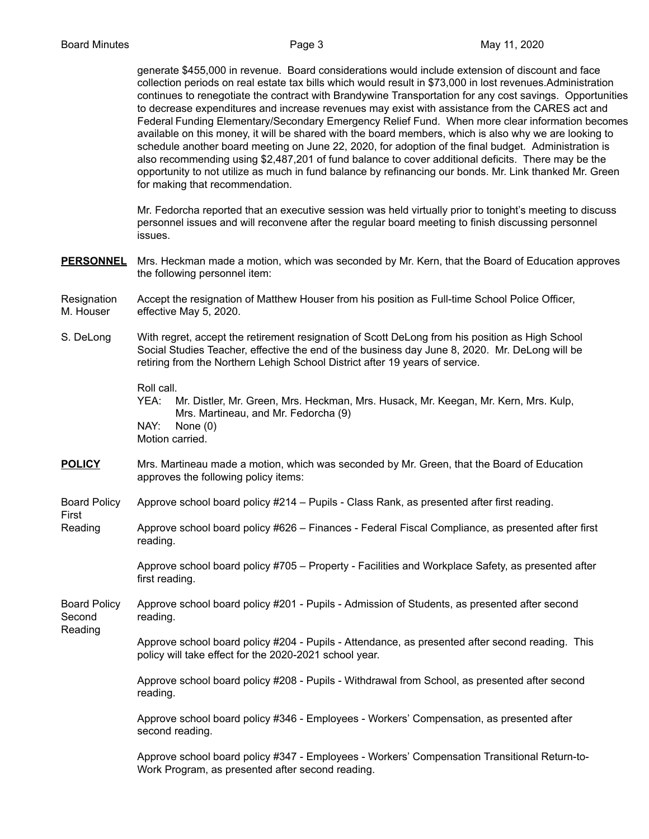generate \$455,000 in revenue. Board considerations would include extension of discount and face collection periods on real estate tax bills which would result in \$73,000 in lost revenues.Administration continues to renegotiate the contract with Brandywine Transportation for any cost savings. Opportunities to decrease expenditures and increase revenues may exist with assistance from the CARES act and Federal Funding Elementary/Secondary Emergency Relief Fund. When more clear information becomes available on this money, it will be shared with the board members, which is also why we are looking to schedule another board meeting on June 22, 2020, for adoption of the final budget. Administration is also recommending using \$2,487,201 of fund balance to cover additional deficits. There may be the opportunity to not utilize as much in fund balance by refinancing our bonds. Mr. Link thanked Mr. Green for making that recommendation.

Mr. Fedorcha reported that an executive session was held virtually prior to tonight's meeting to discuss personnel issues and will reconvene after the regular board meeting to finish discussing personnel issues.

- **PERSONNEL** Mrs. Heckman made a motion, which was seconded by Mr. Kern, that the Board of Education approves the following personnel item:
- Resignation Accept the resignation of Matthew Houser from his position as Full-time School Police Officer, M. Houser effective May 5, 2020.
- S. DeLong With regret, accept the retirement resignation of Scott DeLong from his position as High School Social Studies Teacher, effective the end of the business day June 8, 2020. Mr. DeLong will be retiring from the Northern Lehigh School District after 19 years of service.

Roll call.

YEA: Mr. Distler, Mr. Green, Mrs. Heckman, Mrs. Husack, Mr. Keegan, Mr. Kern, Mrs. Kulp, Mrs. Martineau, and Mr. Fedorcha (9) NAY: None (0) Motion carried.

- **POLICY** Mrs. Martineau made a motion, which was seconded by Mr. Green, that the Board of Education approves the following policy items:
- Board Policy Approve school board policy #214 Pupils Class Rank, as presented after first reading.
- Reading Approve school board policy #626 Finances Federal Fiscal Compliance, as presented after first reading.

Approve school board policy #705 – Property - Facilities and Workplace Safety, as presented after first reading.

Board Policy Approve school board policy #201 - Pupils - Admission of Students, as presented after second Second reading.

Reading

First

Approve school board policy #204 - Pupils - Attendance, as presented after second reading. This policy will take effect for the 2020-2021 school year.

Approve school board policy #208 - Pupils - Withdrawal from School, as presented after second reading.

Approve school board policy #346 - Employees - Workers' Compensation, as presented after second reading.

Approve school board policy #347 - Employees - Workers' Compensation Transitional Return-to-Work Program, as presented after second reading.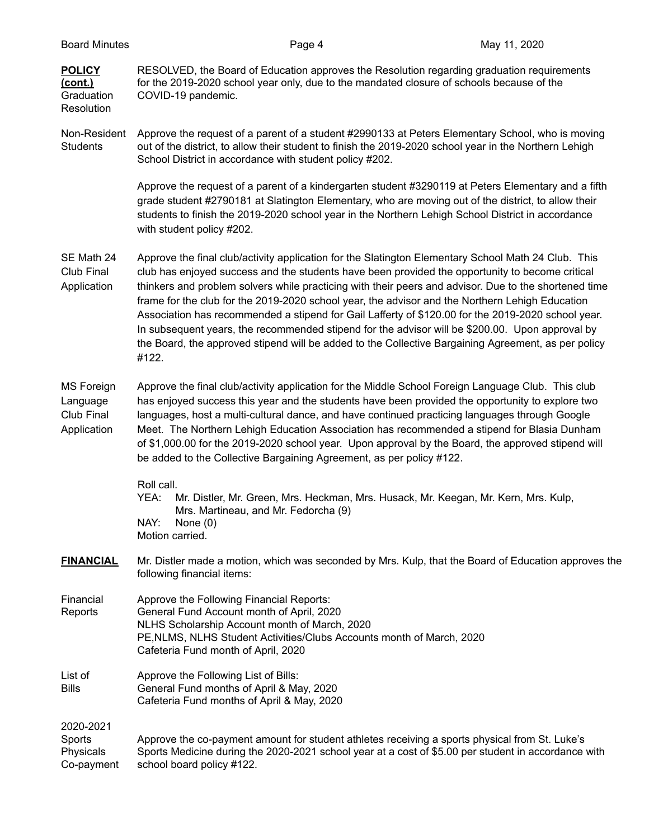| <b>Board Minutes</b>                                        | Page 4                                                                                                                                                                                                                                                                                                                                                                                                                                                                                                                                                                                                                                                                                                                                      | May 11, 2020 |  |
|-------------------------------------------------------------|---------------------------------------------------------------------------------------------------------------------------------------------------------------------------------------------------------------------------------------------------------------------------------------------------------------------------------------------------------------------------------------------------------------------------------------------------------------------------------------------------------------------------------------------------------------------------------------------------------------------------------------------------------------------------------------------------------------------------------------------|--------------|--|
| <b>POLICY</b><br><u>(cont.)</u><br>Graduation<br>Resolution | RESOLVED, the Board of Education approves the Resolution regarding graduation requirements<br>for the 2019-2020 school year only, due to the mandated closure of schools because of the<br>COVID-19 pandemic.                                                                                                                                                                                                                                                                                                                                                                                                                                                                                                                               |              |  |
| Non-Resident<br><b>Students</b>                             | Approve the request of a parent of a student #2990133 at Peters Elementary School, who is moving<br>out of the district, to allow their student to finish the 2019-2020 school year in the Northern Lehigh<br>School District in accordance with student policy #202.                                                                                                                                                                                                                                                                                                                                                                                                                                                                       |              |  |
|                                                             | Approve the request of a parent of a kindergarten student #3290119 at Peters Elementary and a fifth<br>grade student #2790181 at Slatington Elementary, who are moving out of the district, to allow their<br>students to finish the 2019-2020 school year in the Northern Lehigh School District in accordance<br>with student policy #202.                                                                                                                                                                                                                                                                                                                                                                                                |              |  |
| SE Math 24<br>Club Final<br>Application                     | Approve the final club/activity application for the Slatington Elementary School Math 24 Club. This<br>club has enjoyed success and the students have been provided the opportunity to become critical<br>thinkers and problem solvers while practicing with their peers and advisor. Due to the shortened time<br>frame for the club for the 2019-2020 school year, the advisor and the Northern Lehigh Education<br>Association has recommended a stipend for Gail Lafferty of \$120.00 for the 2019-2020 school year.<br>In subsequent years, the recommended stipend for the advisor will be \$200.00. Upon approval by<br>the Board, the approved stipend will be added to the Collective Bargaining Agreement, as per policy<br>#122. |              |  |
| <b>MS Foreign</b><br>Language<br>Club Final<br>Application  | Approve the final club/activity application for the Middle School Foreign Language Club. This club<br>has enjoyed success this year and the students have been provided the opportunity to explore two<br>languages, host a multi-cultural dance, and have continued practicing languages through Google<br>Meet. The Northern Lehigh Education Association has recommended a stipend for Blasia Dunham<br>of \$1,000.00 for the 2019-2020 school year. Upon approval by the Board, the approved stipend will<br>be added to the Collective Bargaining Agreement, as per policy #122.                                                                                                                                                       |              |  |
|                                                             | Roll call.<br>YEA:<br>Mr. Distler, Mr. Green, Mrs. Heckman, Mrs. Husack, Mr. Keegan, Mr. Kern, Mrs. Kulp,<br>Mrs. Martineau, and Mr. Fedorcha (9)<br>NAY:<br>None $(0)$<br>Motion carried.                                                                                                                                                                                                                                                                                                                                                                                                                                                                                                                                                  |              |  |
| <b>FINANCIAL</b>                                            | Mr. Distler made a motion, which was seconded by Mrs. Kulp, that the Board of Education approves the<br>following financial items:                                                                                                                                                                                                                                                                                                                                                                                                                                                                                                                                                                                                          |              |  |
| Financial<br>Reports                                        | Approve the Following Financial Reports:<br>General Fund Account month of April, 2020<br>NLHS Scholarship Account month of March, 2020<br>PE, NLMS, NLHS Student Activities/Clubs Accounts month of March, 2020<br>Cafeteria Fund month of April, 2020                                                                                                                                                                                                                                                                                                                                                                                                                                                                                      |              |  |
| List of<br><b>Bills</b>                                     | Approve the Following List of Bills:<br>General Fund months of April & May, 2020<br>Cafeteria Fund months of April & May, 2020                                                                                                                                                                                                                                                                                                                                                                                                                                                                                                                                                                                                              |              |  |
| 2020-2021<br>Sports<br>Physicals<br>Co-payment              | Approve the co-payment amount for student athletes receiving a sports physical from St. Luke's<br>Sports Medicine during the 2020-2021 school year at a cost of \$5.00 per student in accordance with<br>school board policy #122.                                                                                                                                                                                                                                                                                                                                                                                                                                                                                                          |              |  |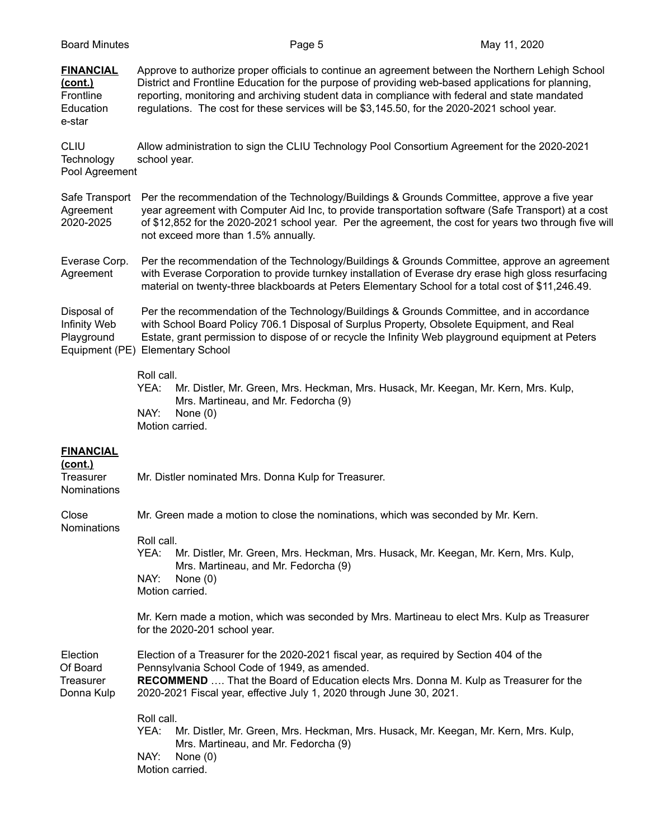| <b>Board Minutes</b>                                            | Page 5                                                                                                                                                                                                                                                                                                                                                                                                   |                                                                                     | May 11, 2020 |
|-----------------------------------------------------------------|----------------------------------------------------------------------------------------------------------------------------------------------------------------------------------------------------------------------------------------------------------------------------------------------------------------------------------------------------------------------------------------------------------|-------------------------------------------------------------------------------------|--------------|
| <b>FINANCIAL</b><br>(cont.)<br>Frontline<br>Education<br>e-star | Approve to authorize proper officials to continue an agreement between the Northern Lehigh School<br>District and Frontline Education for the purpose of providing web-based applications for planning,<br>reporting, monitoring and archiving student data in compliance with federal and state mandated<br>regulations. The cost for these services will be \$3,145.50, for the 2020-2021 school year. |                                                                                     |              |
| <b>CLIU</b><br>Technology<br>Pool Agreement                     | Allow administration to sign the CLIU Technology Pool Consortium Agreement for the 2020-2021<br>school year.                                                                                                                                                                                                                                                                                             |                                                                                     |              |
| Safe Transport<br>Agreement<br>2020-2025                        | Per the recommendation of the Technology/Buildings & Grounds Committee, approve a five year<br>year agreement with Computer Aid Inc, to provide transportation software (Safe Transport) at a cost<br>of \$12,852 for the 2020-2021 school year. Per the agreement, the cost for years two through five will<br>not exceed more than 1.5% annually.                                                      |                                                                                     |              |
| Everase Corp.<br>Agreement                                      | Per the recommendation of the Technology/Buildings & Grounds Committee, approve an agreement<br>with Everase Corporation to provide turnkey installation of Everase dry erase high gloss resurfacing<br>material on twenty-three blackboards at Peters Elementary School for a total cost of \$11,246.49.                                                                                                |                                                                                     |              |
| Disposal of<br>Infinity Web<br>Playground<br>Equipment (PE)     | Per the recommendation of the Technology/Buildings & Grounds Committee, and in accordance<br>with School Board Policy 706.1 Disposal of Surplus Property, Obsolete Equipment, and Real<br>Estate, grant permission to dispose of or recycle the Infinity Web playground equipment at Peters<br><b>Elementary School</b>                                                                                  |                                                                                     |              |
|                                                                 | Roll call.<br>YEA:<br>Mrs. Martineau, and Mr. Fedorcha (9)<br>NAY:<br>None $(0)$<br>Motion carried.                                                                                                                                                                                                                                                                                                      | Mr. Distler, Mr. Green, Mrs. Heckman, Mrs. Husack, Mr. Keegan, Mr. Kern, Mrs. Kulp, |              |
| <b>FINANCIAL</b><br>(cont.)<br>Treasurer<br><b>Nominations</b>  | Mr. Distler nominated Mrs. Donna Kulp for Treasurer.                                                                                                                                                                                                                                                                                                                                                     |                                                                                     |              |
| Close<br>Nominations                                            | Mr. Green made a motion to close the nominations, which was seconded by Mr. Kern.                                                                                                                                                                                                                                                                                                                        |                                                                                     |              |
|                                                                 | Roll call.<br>YEA:<br>Mrs. Martineau, and Mr. Fedorcha (9)<br>NAY:<br>None $(0)$<br>Motion carried.                                                                                                                                                                                                                                                                                                      | Mr. Distler, Mr. Green, Mrs. Heckman, Mrs. Husack, Mr. Keegan, Mr. Kern, Mrs. Kulp, |              |
|                                                                 | Mr. Kern made a motion, which was seconded by Mrs. Martineau to elect Mrs. Kulp as Treasurer<br>for the 2020-201 school year.                                                                                                                                                                                                                                                                            |                                                                                     |              |
| Election<br>Of Board<br><b>Treasurer</b><br>Donna Kulp          | Election of a Treasurer for the 2020-2021 fiscal year, as required by Section 404 of the<br>Pennsylvania School Code of 1949, as amended.<br><b>RECOMMEND</b> That the Board of Education elects Mrs. Donna M. Kulp as Treasurer for the<br>2020-2021 Fiscal year, effective July 1, 2020 through June 30, 2021.                                                                                         |                                                                                     |              |
|                                                                 | Roll call.<br>YEA:<br>Mrs. Martineau, and Mr. Fedorcha (9)<br>NAY:<br>None $(0)$                                                                                                                                                                                                                                                                                                                         | Mr. Distler, Mr. Green, Mrs. Heckman, Mrs. Husack, Mr. Keegan, Mr. Kern, Mrs. Kulp, |              |

Motion carried.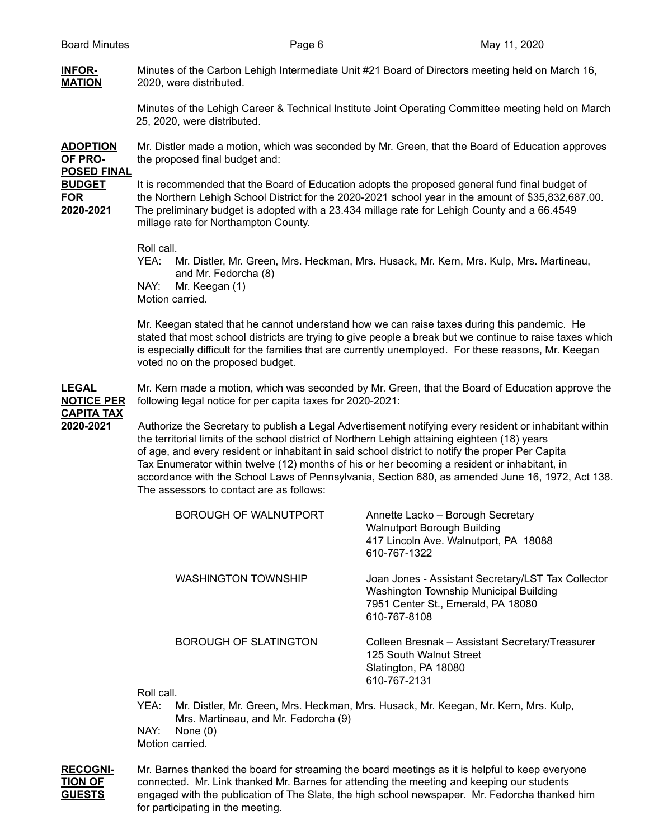# **INFOR-** Minutes of the Carbon Lehigh Intermediate Unit #21 Board of Directors meeting held on March 16, **MATION** 2020, were distributed.

Minutes of the Lehigh Career & Technical Institute Joint Operating Committee meeting held on March 25, 2020, were distributed.

**ADOPTION** Mr. Distler made a motion, which was seconded by Mr. Green, that the Board of Education approves **OF PRO-** the proposed final budget and:

**POSED FINAL**

**BUDGET** It is recommended that the Board of Education adopts the proposed general fund final budget of **FOR** the Northern Lehigh School District for the 2020-2021 school year in the amount of \$35,832,687.00. **2020-2021** The preliminary budget is adopted with a 23.434 millage rate for Lehigh County and a 66.4549 millage rate for Northampton County.

Roll call.

YEA: Mr. Distler, Mr. Green, Mrs. Heckman, Mrs. Husack, Mr. Kern, Mrs. Kulp, Mrs. Martineau, and Mr. Fedorcha (8) NAY: Mr. Keegan (1) Motion carried.

Mr. Keegan stated that he cannot understand how we can raise taxes during this pandemic. He stated that most school districts are trying to give people a break but we continue to raise taxes which is especially difficult for the families that are currently unemployed. For these reasons, Mr. Keegan voted no on the proposed budget.

**LEGAL** Mr. Kern made a motion, which was seconded by Mr. Green, that the Board of Education approve the **NOTICE PER** following legal notice for per capita taxes for 2020-2021:

# **CAPITA TAX**

**2020-2021** Authorize the Secretary to publish a Legal Advertisement notifying every resident or inhabitant within the territorial limits of the school district of Northern Lehigh attaining eighteen (18) years of age, and every resident or inhabitant in said school district to notify the proper Per Capita Tax Enumerator within twelve (12) months of his or her becoming a resident or inhabitant, in accordance with the School Laws of Pennsylvania, Section 680, as amended June 16, 1972, Act 138. The assessors to contact are as follows:

| BOROUGH OF WALNUTPORT        | Annette Lacko - Borough Secretary<br>Walnutport Borough Building<br>417 Lincoln Ave. Walnutport, PA 18088<br>610-767-1322                          |
|------------------------------|----------------------------------------------------------------------------------------------------------------------------------------------------|
| <b>WASHINGTON TOWNSHIP</b>   | Joan Jones - Assistant Secretary/LST Tax Collector<br>Washington Township Municipal Building<br>7951 Center St., Emerald, PA 18080<br>610-767-8108 |
| <b>BOROUGH OF SLATINGTON</b> | Colleen Bresnak - Assistant Secretary/Treasurer<br>125 South Walnut Street<br>Slatington, PA 18080<br>610-767-2131                                 |

Roll call.

YEA: Mr. Distler, Mr. Green, Mrs. Heckman, Mrs. Husack, Mr. Keegan, Mr. Kern, Mrs. Kulp, Mrs. Martineau, and Mr. Fedorcha (9)

NAY: None (0) Motion carried.

**RECOGNI-** Mr. Barnes thanked the board for streaming the board meetings as it is helpful to keep everyone **TION OF** connected. Mr. Link thanked Mr. Barnes for attending the meeting and keeping our students **GUESTS** engaged with the publication of The Slate, the high school newspaper. Mr. Fedorcha thanked him for participating in the meeting.